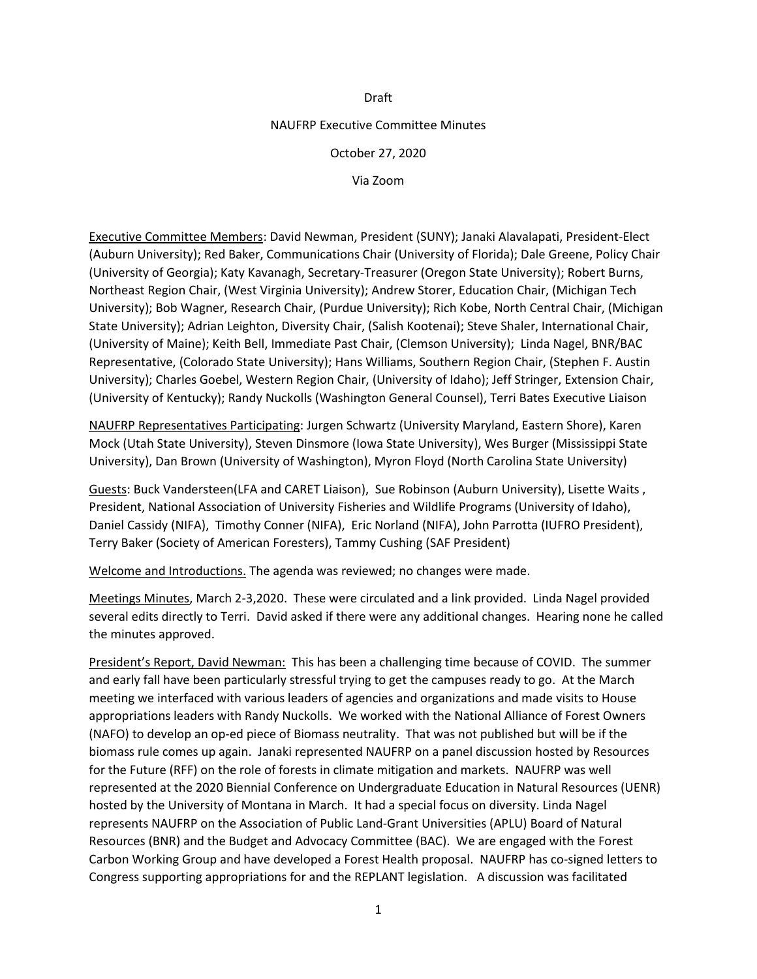### Draft

### NAUFRP Executive Committee Minutes

### October 27, 2020

Via Zoom

Executive Committee Members: David Newman, President (SUNY); Janaki Alavalapati, President-Elect (Auburn University); Red Baker, Communications Chair (University of Florida); Dale Greene, Policy Chair (University of Georgia); Katy Kavanagh, Secretary-Treasurer (Oregon State University); Robert Burns, Northeast Region Chair, (West Virginia University); Andrew Storer, Education Chair, (Michigan Tech University); Bob Wagner, Research Chair, (Purdue University); Rich Kobe, North Central Chair, (Michigan State University); Adrian Leighton, Diversity Chair, (Salish Kootenai); Steve Shaler, International Chair, (University of Maine); Keith Bell, Immediate Past Chair, (Clemson University); Linda Nagel, BNR/BAC Representative, (Colorado State University); Hans Williams, Southern Region Chair, (Stephen F. Austin University); Charles Goebel, Western Region Chair, (University of Idaho); Jeff Stringer, Extension Chair, (University of Kentucky); Randy Nuckolls (Washington General Counsel), Terri Bates Executive Liaison

NAUFRP Representatives Participating: Jurgen Schwartz (University Maryland, Eastern Shore), Karen Mock (Utah State University), Steven Dinsmore (Iowa State University), Wes Burger (Mississippi State University), Dan Brown (University of Washington), Myron Floyd (North Carolina State University)

Guests: Buck Vandersteen(LFA and CARET Liaison), Sue Robinson (Auburn University), Lisette Waits , President, National Association of University Fisheries and Wildlife Programs (University of Idaho), Daniel Cassidy (NIFA), Timothy Conner (NIFA), Eric Norland (NIFA), John Parrotta (IUFRO President), Terry Baker (Society of American Foresters), Tammy Cushing (SAF President)

Welcome and Introductions. The agenda was reviewed; no changes were made.

Meetings Minutes, March 2-3,2020. These were circulated and a link provided. Linda Nagel provided several edits directly to Terri. David asked if there were any additional changes. Hearing none he called the minutes approved.

President's Report, David Newman: This has been a challenging time because of COVID. The summer and early fall have been particularly stressful trying to get the campuses ready to go. At the March meeting we interfaced with various leaders of agencies and organizations and made visits to House appropriations leaders with Randy Nuckolls. We worked with the National Alliance of Forest Owners (NAFO) to develop an op-ed piece of Biomass neutrality. That was not published but will be if the biomass rule comes up again. Janaki represented NAUFRP on a panel discussion hosted by Resources for the Future (RFF) on the role of forests in climate mitigation and markets. NAUFRP was well represented at the 2020 Biennial Conference on Undergraduate Education in Natural Resources (UENR) hosted by the University of Montana in March. It had a special focus on diversity. Linda Nagel represents NAUFRP on the Association of Public Land-Grant Universities (APLU) Board of Natural Resources (BNR) and the Budget and Advocacy Committee (BAC). We are engaged with the Forest Carbon Working Group and have developed a Forest Health proposal. NAUFRP has co-signed letters to Congress supporting appropriations for and the REPLANT legislation. A discussion was facilitated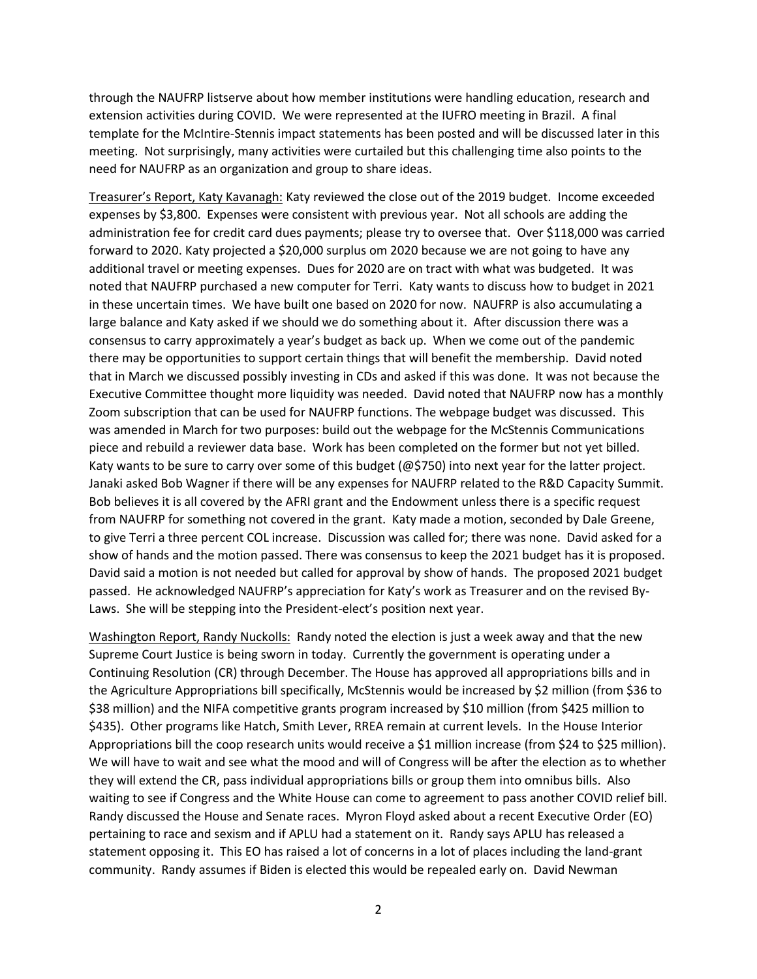through the NAUFRP listserve about how member institutions were handling education, research and extension activities during COVID. We were represented at the IUFRO meeting in Brazil. A final template for the McIntire-Stennis impact statements has been posted and will be discussed later in this meeting. Not surprisingly, many activities were curtailed but this challenging time also points to the need for NAUFRP as an organization and group to share ideas.

Treasurer's Report, Katy Kavanagh: Katy reviewed the close out of the 2019 budget. Income exceeded expenses by \$3,800. Expenses were consistent with previous year. Not all schools are adding the administration fee for credit card dues payments; please try to oversee that. Over \$118,000 was carried forward to 2020. Katy projected a \$20,000 surplus om 2020 because we are not going to have any additional travel or meeting expenses. Dues for 2020 are on tract with what was budgeted. It was noted that NAUFRP purchased a new computer for Terri. Katy wants to discuss how to budget in 2021 in these uncertain times. We have built one based on 2020 for now. NAUFRP is also accumulating a large balance and Katy asked if we should we do something about it. After discussion there was a consensus to carry approximately a year's budget as back up. When we come out of the pandemic there may be opportunities to support certain things that will benefit the membership. David noted that in March we discussed possibly investing in CDs and asked if this was done. It was not because the Executive Committee thought more liquidity was needed. David noted that NAUFRP now has a monthly Zoom subscription that can be used for NAUFRP functions. The webpage budget was discussed. This was amended in March for two purposes: build out the webpage for the McStennis Communications piece and rebuild a reviewer data base. Work has been completed on the former but not yet billed. Katy wants to be sure to carry over some of this budget (@\$750) into next year for the latter project. Janaki asked Bob Wagner if there will be any expenses for NAUFRP related to the R&D Capacity Summit. Bob believes it is all covered by the AFRI grant and the Endowment unless there is a specific request from NAUFRP for something not covered in the grant. Katy made a motion, seconded by Dale Greene, to give Terri a three percent COL increase. Discussion was called for; there was none. David asked for a show of hands and the motion passed. There was consensus to keep the 2021 budget has it is proposed. David said a motion is not needed but called for approval by show of hands. The proposed 2021 budget passed. He acknowledged NAUFRP's appreciation for Katy's work as Treasurer and on the revised By-Laws. She will be stepping into the President-elect's position next year.

Washington Report, Randy Nuckolls: Randy noted the election is just a week away and that the new Supreme Court Justice is being sworn in today. Currently the government is operating under a Continuing Resolution (CR) through December. The House has approved all appropriations bills and in the Agriculture Appropriations bill specifically, McStennis would be increased by \$2 million (from \$36 to \$38 million) and the NIFA competitive grants program increased by \$10 million (from \$425 million to \$435). Other programs like Hatch, Smith Lever, RREA remain at current levels. In the House Interior Appropriations bill the coop research units would receive a \$1 million increase (from \$24 to \$25 million). We will have to wait and see what the mood and will of Congress will be after the election as to whether they will extend the CR, pass individual appropriations bills or group them into omnibus bills. Also waiting to see if Congress and the White House can come to agreement to pass another COVID relief bill. Randy discussed the House and Senate races. Myron Floyd asked about a recent Executive Order (EO) pertaining to race and sexism and if APLU had a statement on it. Randy says APLU has released a statement opposing it. This EO has raised a lot of concerns in a lot of places including the land-grant community. Randy assumes if Biden is elected this would be repealed early on. David Newman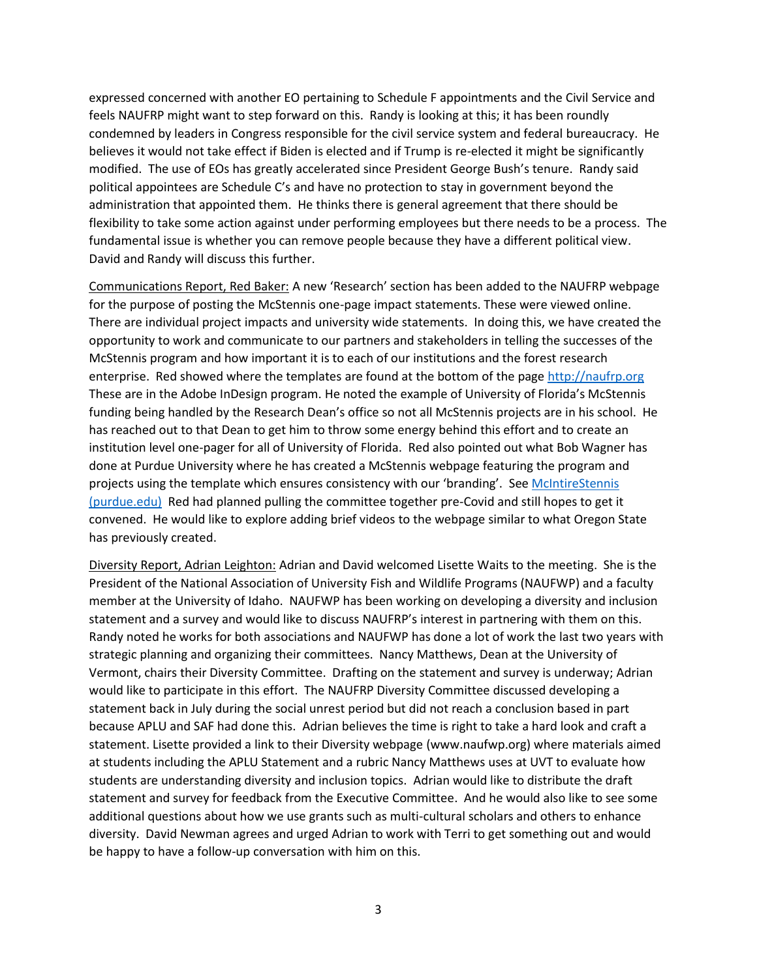expressed concerned with another EO pertaining to Schedule F appointments and the Civil Service and feels NAUFRP might want to step forward on this. Randy is looking at this; it has been roundly condemned by leaders in Congress responsible for the civil service system and federal bureaucracy. He believes it would not take effect if Biden is elected and if Trump is re-elected it might be significantly modified. The use of EOs has greatly accelerated since President George Bush's tenure. Randy said political appointees are Schedule C's and have no protection to stay in government beyond the administration that appointed them. He thinks there is general agreement that there should be flexibility to take some action against under performing employees but there needs to be a process. The fundamental issue is whether you can remove people because they have a different political view. David and Randy will discuss this further.

Communications Report, Red Baker: A new 'Research' section has been added to the NAUFRP webpage for the purpose of posting the McStennis one-page impact statements. These were viewed online. There are individual project impacts and university wide statements. In doing this, we have created the opportunity to work and communicate to our partners and stakeholders in telling the successes of the McStennis program and how important it is to each of our institutions and the forest research enterprise. Red showed where the templates are found at the bottom of the page [http://naufrp.](http://naufrp/)org These are in the Adobe InDesign program. He noted the example of University of Florida's McStennis funding being handled by the Research Dean's office so not all McStennis projects are in his school. He has reached out to that Dean to get him to throw some energy behind this effort and to create an institution level one-pager for all of University of Florida. Red also pointed out what Bob Wagner has done at Purdue University where he has created a McStennis webpage featuring the program and projects using the template which ensures consistency with our 'branding'. See [McIntireStennis](https://ag.purdue.edu/fnr/Pages/McIntireStennis.aspx)  [\(purdue.edu\)](https://ag.purdue.edu/fnr/Pages/McIntireStennis.aspx) Red had planned pulling the committee together pre-Covid and still hopes to get it convened. He would like to explore adding brief videos to the webpage similar to what Oregon State has previously created.

Diversity Report, Adrian Leighton: Adrian and David welcomed Lisette Waits to the meeting. She is the President of the National Association of University Fish and Wildlife Programs (NAUFWP) and a faculty member at the University of Idaho. NAUFWP has been working on developing a diversity and inclusion statement and a survey and would like to discuss NAUFRP's interest in partnering with them on this. Randy noted he works for both associations and NAUFWP has done a lot of work the last two years with strategic planning and organizing their committees. Nancy Matthews, Dean at the University of Vermont, chairs their Diversity Committee. Drafting on the statement and survey is underway; Adrian would like to participate in this effort. The NAUFRP Diversity Committee discussed developing a statement back in July during the social unrest period but did not reach a conclusion based in part because APLU and SAF had done this. Adrian believes the time is right to take a hard look and craft a statement. Lisette provided a link to their Diversity webpage (www.naufwp.org) where materials aimed at students including the APLU Statement and a rubric Nancy Matthews uses at UVT to evaluate how students are understanding diversity and inclusion topics. Adrian would like to distribute the draft statement and survey for feedback from the Executive Committee. And he would also like to see some additional questions about how we use grants such as multi-cultural scholars and others to enhance diversity. David Newman agrees and urged Adrian to work with Terri to get something out and would be happy to have a follow-up conversation with him on this.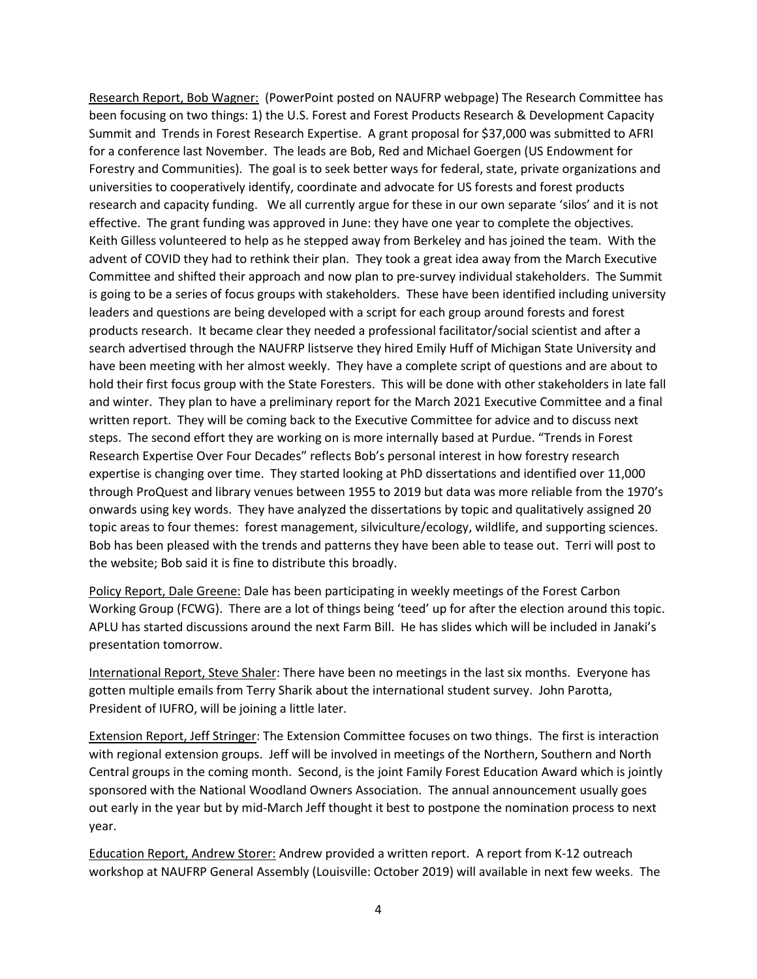Research Report, Bob Wagner: (PowerPoint posted on NAUFRP webpage) The Research Committee has been focusing on two things: 1) the U.S. Forest and Forest Products Research & Development Capacity Summit and Trends in Forest Research Expertise. A grant proposal for \$37,000 was submitted to AFRI for a conference last November. The leads are Bob, Red and Michael Goergen (US Endowment for Forestry and Communities). The goal is to seek better ways for federal, state, private organizations and universities to cooperatively identify, coordinate and advocate for US forests and forest products research and capacity funding. We all currently argue for these in our own separate 'silos' and it is not effective. The grant funding was approved in June: they have one year to complete the objectives. Keith Gilless volunteered to help as he stepped away from Berkeley and has joined the team. With the advent of COVID they had to rethink their plan. They took a great idea away from the March Executive Committee and shifted their approach and now plan to pre-survey individual stakeholders. The Summit is going to be a series of focus groups with stakeholders. These have been identified including university leaders and questions are being developed with a script for each group around forests and forest products research. It became clear they needed a professional facilitator/social scientist and after a search advertised through the NAUFRP listserve they hired Emily Huff of Michigan State University and have been meeting with her almost weekly. They have a complete script of questions and are about to hold their first focus group with the State Foresters. This will be done with other stakeholders in late fall and winter. They plan to have a preliminary report for the March 2021 Executive Committee and a final written report. They will be coming back to the Executive Committee for advice and to discuss next steps. The second effort they are working on is more internally based at Purdue. "Trends in Forest Research Expertise Over Four Decades" reflects Bob's personal interest in how forestry research expertise is changing over time. They started looking at PhD dissertations and identified over 11,000 through ProQuest and library venues between 1955 to 2019 but data was more reliable from the 1970's onwards using key words. They have analyzed the dissertations by topic and qualitatively assigned 20 topic areas to four themes: forest management, silviculture/ecology, wildlife, and supporting sciences. Bob has been pleased with the trends and patterns they have been able to tease out. Terri will post to the website; Bob said it is fine to distribute this broadly.

Policy Report, Dale Greene: Dale has been participating in weekly meetings of the Forest Carbon Working Group (FCWG). There are a lot of things being 'teed' up for after the election around this topic. APLU has started discussions around the next Farm Bill. He has slides which will be included in Janaki's presentation tomorrow.

International Report, Steve Shaler: There have been no meetings in the last six months. Everyone has gotten multiple emails from Terry Sharik about the international student survey. John Parotta, President of IUFRO, will be joining a little later.

Extension Report, Jeff Stringer: The Extension Committee focuses on two things. The first is interaction with regional extension groups. Jeff will be involved in meetings of the Northern, Southern and North Central groups in the coming month. Second, is the joint Family Forest Education Award which is jointly sponsored with the National Woodland Owners Association. The annual announcement usually goes out early in the year but by mid-March Jeff thought it best to postpone the nomination process to next year.

Education Report, Andrew Storer: Andrew provided a written report. A report from K-12 outreach workshop at NAUFRP General Assembly (Louisville: October 2019) will available in next few weeks. The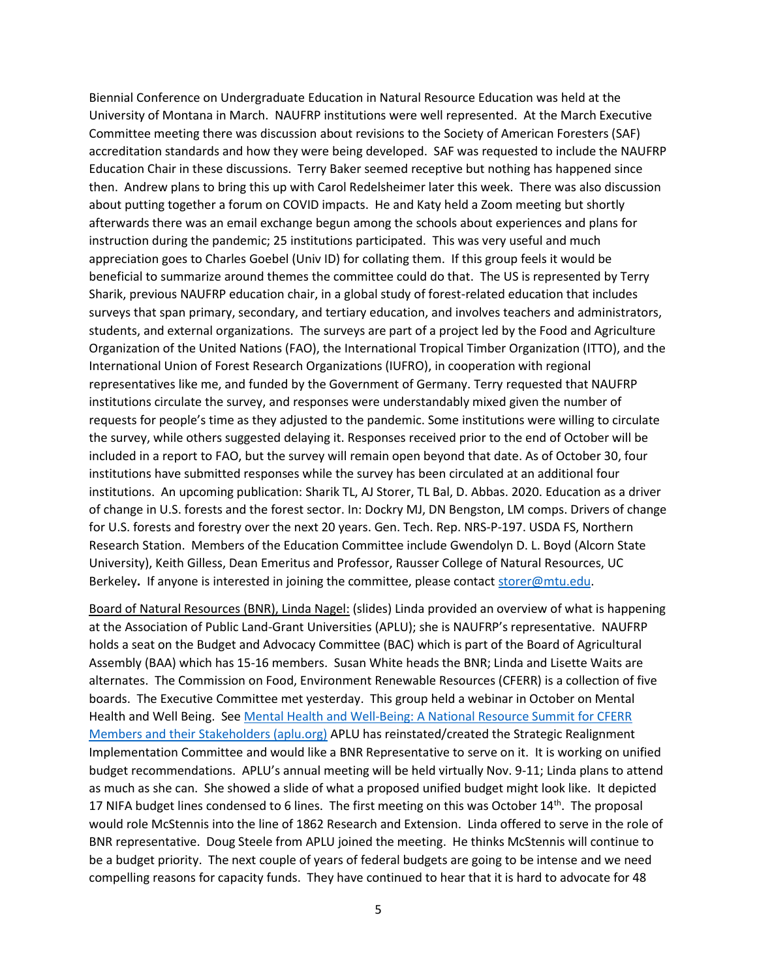Biennial Conference on Undergraduate Education in Natural Resource Education was held at the University of Montana in March. NAUFRP institutions were well represented. At the March Executive Committee meeting there was discussion about revisions to the Society of American Foresters (SAF) accreditation standards and how they were being developed. SAF was requested to include the NAUFRP Education Chair in these discussions. Terry Baker seemed receptive but nothing has happened since then. Andrew plans to bring this up with Carol Redelsheimer later this week. There was also discussion about putting together a forum on COVID impacts. He and Katy held a Zoom meeting but shortly afterwards there was an email exchange begun among the schools about experiences and plans for instruction during the pandemic; 25 institutions participated. This was very useful and much appreciation goes to Charles Goebel (Univ ID) for collating them. If this group feels it would be beneficial to summarize around themes the committee could do that. The US is represented by Terry Sharik, previous NAUFRP education chair, in a global study of forest-related education that includes surveys that span primary, secondary, and tertiary education, and involves teachers and administrators, students, and external organizations. The surveys are part of a project led by the Food and Agriculture Organization of the United Nations (FAO), the International Tropical Timber Organization (ITTO), and the International Union of Forest Research Organizations (IUFRO), in cooperation with regional representatives like me, and funded by the Government of Germany. Terry requested that NAUFRP institutions circulate the survey, and responses were understandably mixed given the number of requests for people's time as they adjusted to the pandemic. Some institutions were willing to circulate the survey, while others suggested delaying it. Responses received prior to the end of October will be included in a report to FAO, but the survey will remain open beyond that date. As of October 30, four institutions have submitted responses while the survey has been circulated at an additional four institutions. An upcoming publication: Sharik TL, AJ Storer, TL Bal, D. Abbas. 2020. Education as a driver of change in U.S. forests and the forest sector. In: Dockry MJ, DN Bengston, LM comps. Drivers of change for U.S. forests and forestry over the next 20 years. Gen. Tech. Rep. NRS-P-197. USDA FS, Northern Research Station. Members of the Education Committee include Gwendolyn D. L. Boyd (Alcorn State University), Keith Gilless, Dean Emeritus and Professor, Rausser College of Natural Resources, UC Berkeley**.** If anyone is interested in joining the committee, please contact [storer@mtu.edu.](mailto:storer@mtu.edu)

Board of Natural Resources (BNR), Linda Nagel: (slides) Linda provided an overview of what is happening at the Association of Public Land-Grant Universities (APLU); she is NAUFRP's representative. NAUFRP holds a seat on the Budget and Advocacy Committee (BAC) which is part of the Board of Agricultural Assembly (BAA) which has 15-16 members. Susan White heads the BNR; Linda and Lisette Waits are alternates. The Commission on Food, Environment Renewable Resources (CFERR) is a collection of five boards. The Executive Committee met yesterday. This group held a webinar in October on Mental Health and Well Being. See [Mental Health and Well-Being: A National Resource Summit for CFERR](https://www.aplu.org/members/commissions/food-environment-and-renewable-resources/cferr-events/CFERR-Mental-Health-Webinar/CFERR%20MH%20Webinar%20Slides.pdf)  [Members and their Stakeholders \(aplu.org\)](https://www.aplu.org/members/commissions/food-environment-and-renewable-resources/cferr-events/CFERR-Mental-Health-Webinar/CFERR%20MH%20Webinar%20Slides.pdf) APLU has reinstated/created the Strategic Realignment Implementation Committee and would like a BNR Representative to serve on it. It is working on unified budget recommendations. APLU's annual meeting will be held virtually Nov. 9-11; Linda plans to attend as much as she can. She showed a slide of what a proposed unified budget might look like. It depicted 17 NIFA budget lines condensed to 6 lines. The first meeting on this was October 14<sup>th</sup>. The proposal would role McStennis into the line of 1862 Research and Extension. Linda offered to serve in the role of BNR representative. Doug Steele from APLU joined the meeting. He thinks McStennis will continue to be a budget priority. The next couple of years of federal budgets are going to be intense and we need compelling reasons for capacity funds. They have continued to hear that it is hard to advocate for 48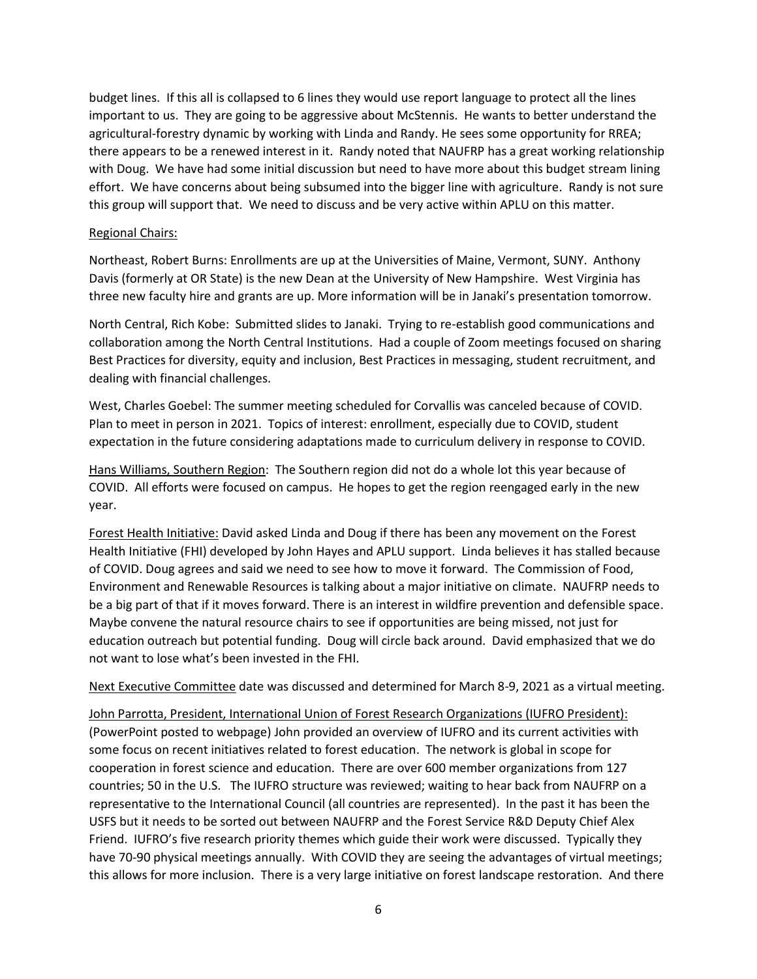budget lines. If this all is collapsed to 6 lines they would use report language to protect all the lines important to us. They are going to be aggressive about McStennis. He wants to better understand the agricultural-forestry dynamic by working with Linda and Randy. He sees some opportunity for RREA; there appears to be a renewed interest in it. Randy noted that NAUFRP has a great working relationship with Doug. We have had some initial discussion but need to have more about this budget stream lining effort. We have concerns about being subsumed into the bigger line with agriculture. Randy is not sure this group will support that. We need to discuss and be very active within APLU on this matter.

# Regional Chairs:

Northeast, Robert Burns: Enrollments are up at the Universities of Maine, Vermont, SUNY. Anthony Davis (formerly at OR State) is the new Dean at the University of New Hampshire. West Virginia has three new faculty hire and grants are up. More information will be in Janaki's presentation tomorrow.

North Central, Rich Kobe: Submitted slides to Janaki. Trying to re-establish good communications and collaboration among the North Central Institutions. Had a couple of Zoom meetings focused on sharing Best Practices for diversity, equity and inclusion, Best Practices in messaging, student recruitment, and dealing with financial challenges.

West, Charles Goebel: The summer meeting scheduled for Corvallis was canceled because of COVID. Plan to meet in person in 2021. Topics of interest: enrollment, especially due to COVID, student expectation in the future considering adaptations made to curriculum delivery in response to COVID.

Hans Williams, Southern Region: The Southern region did not do a whole lot this year because of COVID. All efforts were focused on campus. He hopes to get the region reengaged early in the new year.

Forest Health Initiative: David asked Linda and Doug if there has been any movement on the Forest Health Initiative (FHI) developed by John Hayes and APLU support. Linda believes it has stalled because of COVID. Doug agrees and said we need to see how to move it forward. The Commission of Food, Environment and Renewable Resources is talking about a major initiative on climate. NAUFRP needs to be a big part of that if it moves forward. There is an interest in wildfire prevention and defensible space. Maybe convene the natural resource chairs to see if opportunities are being missed, not just for education outreach but potential funding. Doug will circle back around. David emphasized that we do not want to lose what's been invested in the FHI.

Next Executive Committee date was discussed and determined for March 8-9, 2021 as a virtual meeting.

John Parrotta, President, International Union of Forest Research Organizations (IUFRO President): (PowerPoint posted to webpage) John provided an overview of IUFRO and its current activities with some focus on recent initiatives related to forest education. The network is global in scope for cooperation in forest science and education. There are over 600 member organizations from 127 countries; 50 in the U.S. The IUFRO structure was reviewed; waiting to hear back from NAUFRP on a representative to the International Council (all countries are represented). In the past it has been the USFS but it needs to be sorted out between NAUFRP and the Forest Service R&D Deputy Chief Alex Friend. IUFRO's five research priority themes which guide their work were discussed. Typically they have 70-90 physical meetings annually. With COVID they are seeing the advantages of virtual meetings; this allows for more inclusion. There is a very large initiative on forest landscape restoration. And there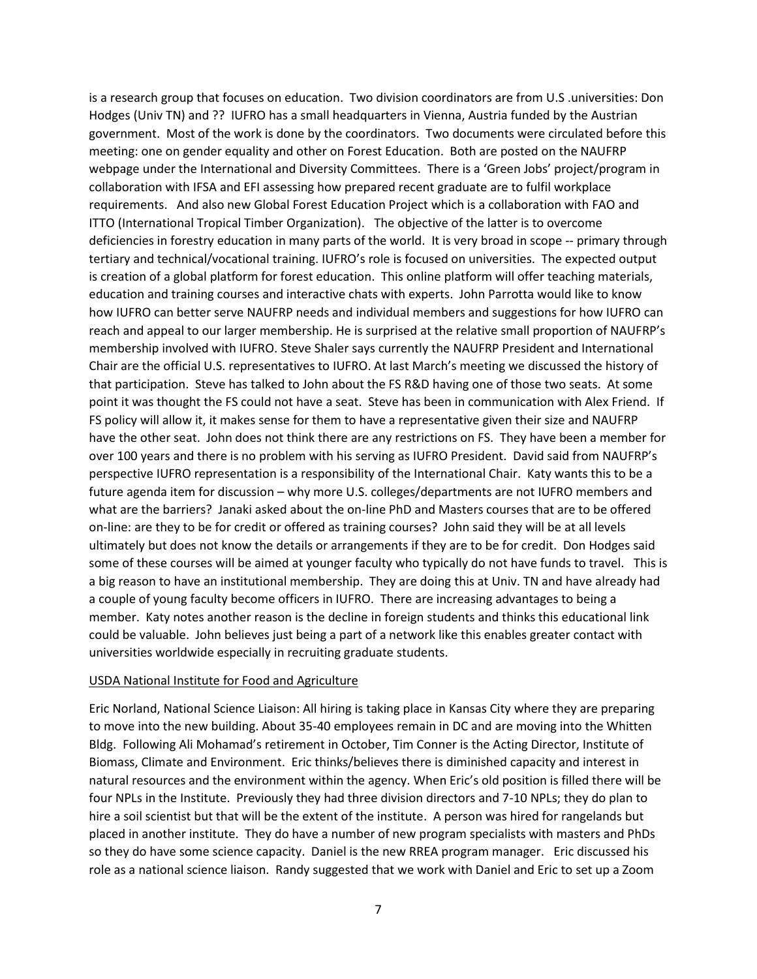is a research group that focuses on education. Two division coordinators are from U.S .universities: Don Hodges (Univ TN) and ?? IUFRO has a small headquarters in Vienna, Austria funded by the Austrian government. Most of the work is done by the coordinators. Two documents were circulated before this meeting: one on gender equality and other on Forest Education. Both are posted on the NAUFRP webpage under the International and Diversity Committees. There is a 'Green Jobs' project/program in collaboration with IFSA and EFI assessing how prepared recent graduate are to fulfil workplace requirements. And also new Global Forest Education Project which is a collaboration with FAO and ITTO (International Tropical Timber Organization). The objective of the latter is to overcome deficiencies in forestry education in many parts of the world. It is very broad in scope -- primary through tertiary and technical/vocational training. IUFRO's role is focused on universities. The expected output is creation of a global platform for forest education. This online platform will offer teaching materials, education and training courses and interactive chats with experts. John Parrotta would like to know how IUFRO can better serve NAUFRP needs and individual members and suggestions for how IUFRO can reach and appeal to our larger membership. He is surprised at the relative small proportion of NAUFRP's membership involved with IUFRO. Steve Shaler says currently the NAUFRP President and International Chair are the official U.S. representatives to IUFRO. At last March's meeting we discussed the history of that participation. Steve has talked to John about the FS R&D having one of those two seats. At some point it was thought the FS could not have a seat. Steve has been in communication with Alex Friend. If FS policy will allow it, it makes sense for them to have a representative given their size and NAUFRP have the other seat. John does not think there are any restrictions on FS. They have been a member for over 100 years and there is no problem with his serving as IUFRO President. David said from NAUFRP's perspective IUFRO representation is a responsibility of the International Chair. Katy wants this to be a future agenda item for discussion – why more U.S. colleges/departments are not IUFRO members and what are the barriers? Janaki asked about the on-line PhD and Masters courses that are to be offered on-line: are they to be for credit or offered as training courses? John said they will be at all levels ultimately but does not know the details or arrangements if they are to be for credit. Don Hodges said some of these courses will be aimed at younger faculty who typically do not have funds to travel. This is a big reason to have an institutional membership. They are doing this at Univ. TN and have already had a couple of young faculty become officers in IUFRO. There are increasing advantages to being a member. Katy notes another reason is the decline in foreign students and thinks this educational link could be valuable. John believes just being a part of a network like this enables greater contact with universities worldwide especially in recruiting graduate students.

## USDA National Institute for Food and Agriculture

Eric Norland, National Science Liaison: All hiring is taking place in Kansas City where they are preparing to move into the new building. About 35-40 employees remain in DC and are moving into the Whitten Bldg. Following Ali Mohamad's retirement in October, Tim Conner is the Acting Director, Institute of Biomass, Climate and Environment. Eric thinks/believes there is diminished capacity and interest in natural resources and the environment within the agency. When Eric's old position is filled there will be four NPLs in the Institute. Previously they had three division directors and 7-10 NPLs; they do plan to hire a soil scientist but that will be the extent of the institute. A person was hired for rangelands but placed in another institute. They do have a number of new program specialists with masters and PhDs so they do have some science capacity. Daniel is the new RREA program manager. Eric discussed his role as a national science liaison. Randy suggested that we work with Daniel and Eric to set up a Zoom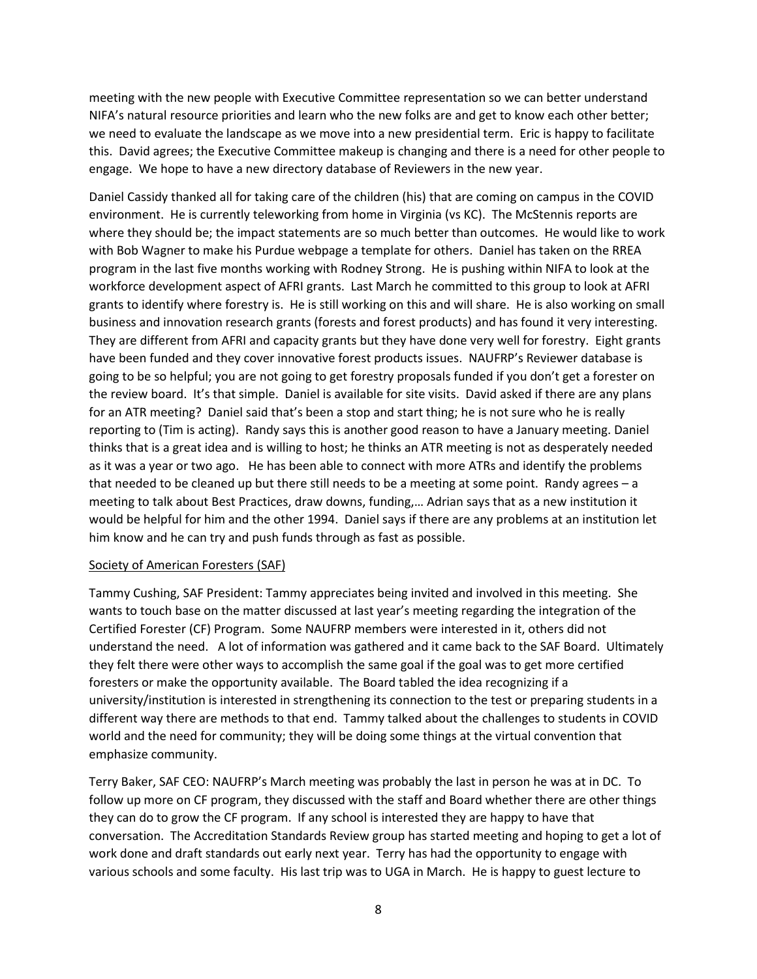meeting with the new people with Executive Committee representation so we can better understand NIFA's natural resource priorities and learn who the new folks are and get to know each other better; we need to evaluate the landscape as we move into a new presidential term. Eric is happy to facilitate this. David agrees; the Executive Committee makeup is changing and there is a need for other people to engage. We hope to have a new directory database of Reviewers in the new year.

Daniel Cassidy thanked all for taking care of the children (his) that are coming on campus in the COVID environment. He is currently teleworking from home in Virginia (vs KC). The McStennis reports are where they should be; the impact statements are so much better than outcomes. He would like to work with Bob Wagner to make his Purdue webpage a template for others. Daniel has taken on the RREA program in the last five months working with Rodney Strong. He is pushing within NIFA to look at the workforce development aspect of AFRI grants. Last March he committed to this group to look at AFRI grants to identify where forestry is. He is still working on this and will share. He is also working on small business and innovation research grants (forests and forest products) and has found it very interesting. They are different from AFRI and capacity grants but they have done very well for forestry. Eight grants have been funded and they cover innovative forest products issues. NAUFRP's Reviewer database is going to be so helpful; you are not going to get forestry proposals funded if you don't get a forester on the review board. It's that simple. Daniel is available for site visits. David asked if there are any plans for an ATR meeting? Daniel said that's been a stop and start thing; he is not sure who he is really reporting to (Tim is acting). Randy says this is another good reason to have a January meeting. Daniel thinks that is a great idea and is willing to host; he thinks an ATR meeting is not as desperately needed as it was a year or two ago. He has been able to connect with more ATRs and identify the problems that needed to be cleaned up but there still needs to be a meeting at some point. Randy agrees – a meeting to talk about Best Practices, draw downs, funding,… Adrian says that as a new institution it would be helpful for him and the other 1994. Daniel says if there are any problems at an institution let him know and he can try and push funds through as fast as possible.

## Society of American Foresters (SAF)

Tammy Cushing, SAF President: Tammy appreciates being invited and involved in this meeting. She wants to touch base on the matter discussed at last year's meeting regarding the integration of the Certified Forester (CF) Program. Some NAUFRP members were interested in it, others did not understand the need. A lot of information was gathered and it came back to the SAF Board. Ultimately they felt there were other ways to accomplish the same goal if the goal was to get more certified foresters or make the opportunity available. The Board tabled the idea recognizing if a university/institution is interested in strengthening its connection to the test or preparing students in a different way there are methods to that end. Tammy talked about the challenges to students in COVID world and the need for community; they will be doing some things at the virtual convention that emphasize community.

Terry Baker, SAF CEO: NAUFRP's March meeting was probably the last in person he was at in DC. To follow up more on CF program, they discussed with the staff and Board whether there are other things they can do to grow the CF program. If any school is interested they are happy to have that conversation. The Accreditation Standards Review group has started meeting and hoping to get a lot of work done and draft standards out early next year. Terry has had the opportunity to engage with various schools and some faculty. His last trip was to UGA in March. He is happy to guest lecture to